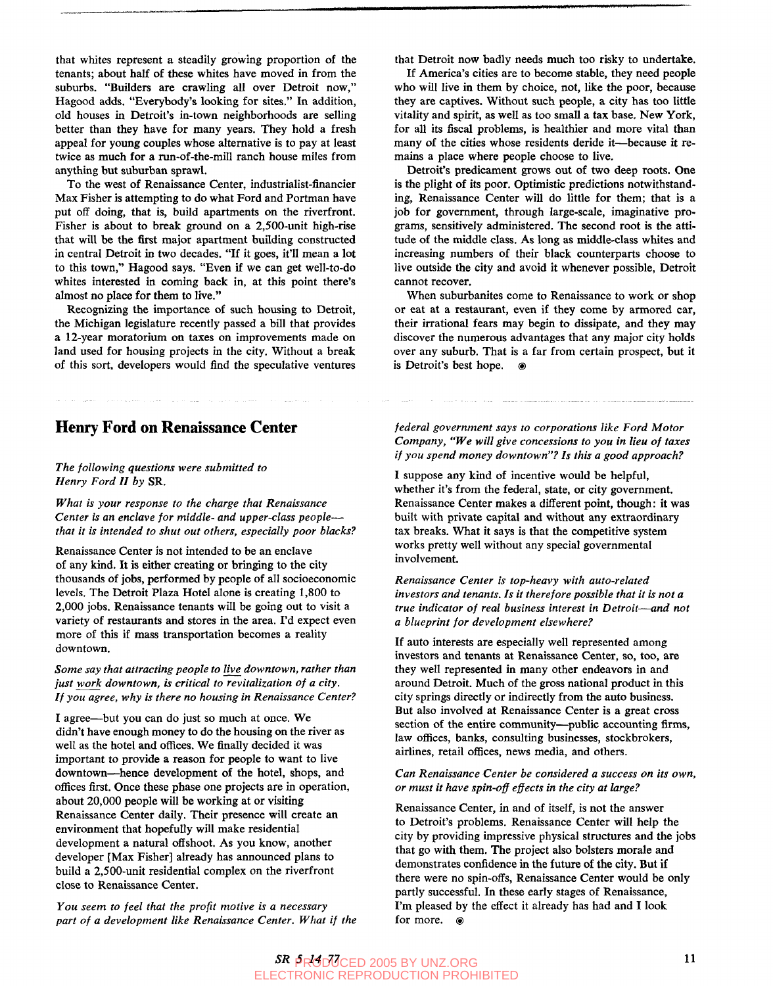that whites represent a steadily growing proportion of the tenants; about half of these whites have moved in from the suburbs. "Builders are crawling all over Detroit now," Hagood adds. "Everybody's looking for sites." In addition, old houses in Detroit's in-town neighborhoods are selling better than they have for many years. They hold a fresh appeal for young couples whose alternative is to pay at least twice as much for a run-of-the-mill ranch house miles from anything but suburban sprawl.

To the west of Renaissance Center, industrialist-financier Max Fisher is attempting to do what Ford and Portman have put off doing, that is, build apartments on the riverfront. Fisher is about to break ground on a 2,500-unit high-rise that will be the first major apartment building constructed in central Detroit in two decades. "If it goes, it'll mean a lot to this town," Hagood says. "Even if we can get well-to-do whites interested in coming back in, at this point there's almost no place for them to live."

Recognizing the importance of such housing to Detroit, the Michigan legislature recently passed a bill that provides a 12-year moratorium on taxes on improvements made on land used for housing projects in the city. Without a break of this sort, developers would find the speculative ventures

## Henry Ford on Renaissance Center

## *The following questions were submitted to Henry Ford Π by* SR.

*What is your response to the charge that Renaissance Center is an enclave for middle- and upper-class people that it is intended to shut out others, especially poor blacks?* 

Renaissance Center is not intended to be an enclave of any kind. It is either creating or bringing to the city thousands of jobs, performed by people of all socioeconomic levels. The Detroit Plaza Hotel alone is creating 1,800 to 2,000 jobs. Renaissance tenants will be going out to visit a variety of restaurants and stores in the area. I'd expect even more of this if mass transportation becomes a reality downtown.

*Some say that attracting people to live downtown, rather than just work downtown, is critical to revitalization of a city. If you agree, why is there no housing in Renaissance Center?* 

I agree—but you can do just so much at once. We didn't have enough money to do the housing on the river as well as the hotel and offices. We finally decided it was important to provide a reason for people to want to live downtown—hence development of the hotel, shops, and offices first. Once these phase one projects are in operation, about 20,000 people will be working at or visiting Renaissance Center daily. Their presence will create an environment that hopefully will make residential development a natural offshoot. As you know, another developer [Max Fisher] already has announced plans to build a 2,500-unit residential complex on the riverfront close to Renaissance Center.

*You seem to feel that the profit motive is a necessary part of a development like Renaissance Center. What if the*  that Detroit now badly needs much too risky to undertake.

If America's cities are to become stable, they need people who will live in them by choice, not, like the poor, because they are captives. Without such people, a city has too little vitality and spirit, as well as too small a tax base. New York, for all its fiscal problems, is healthier and more vital than many of the cities whose residents deride it—because it remains a place where people choose to live.

Detroit's predicament grows out of two deep roots. One is the plight of its poor. Optimistic predictions notwithstanding. Renaissance Center will do little for them; that is a job for government, through large-scale, imaginative programs, sensitively administered. The second root is the attitude of the middle class. As long as middle-class whites and increasing numbers of their black counterparts choose to live outside the city and avoid it whenever possible, Detroit cannot recover.

When suburbanites come to Renaissance to work or shop or eat at a restaurant, even if they come by armored car, their irrational fears may begin to dissipate, and they may discover the numerous advantages that any major city holds over any suburb. That is a far from certain prospect, but it is Detroit's best hope.

*federal government says to corporations like Ford Motor Company, "We will give concessions to you in lieu of taxes if you spend money downtown"? Is this a good approach?* 

I suppose any kind of incentive would be helpful, whether it's from the federal, state, or city government. Renaissance Center makes a different point, though: it was built with private capital and without any extraordinary tax breaks. What it says is that the competitive system works pretty well without any special governmental involvement.

## *Renaissance Center is top-heavy with auto-related investors and tenants. Is it therefore possible that it is not a true indicator of real business interest in Detroit*—*and not a blueprint for development elsewhere?*

If auto interests are especially well represented among investors and tenants at Renaissance Center, so, too, are they well represented in many other endeavors in and around Detroit. Much of the gross national product in this city springs directly or indirectly from the auto business. But also involved at Renaissance Center is a great cross section of the entire community—public accounting firms, law offices, banks, consulting businesses, stockbrokers, airlines, retail offices, news media, and others.

## *Can Renaissance Center be considered a success on its own, or must it have spin-off effects in the city at large?*

Renaissance Center, in and of itself, is not the answer to Detroit's problems. Renaissance Center will help the city by providing impressive physical structures and the jobs that go with them. The project also bolsters morale and demonstrates confidence in the future of the city. But if there were no spin-offs. Renaissance Center would be only partly successful. In these early stages of Renaissance, I'm pleased by the effect it already has had and I look for more.  $\circ$